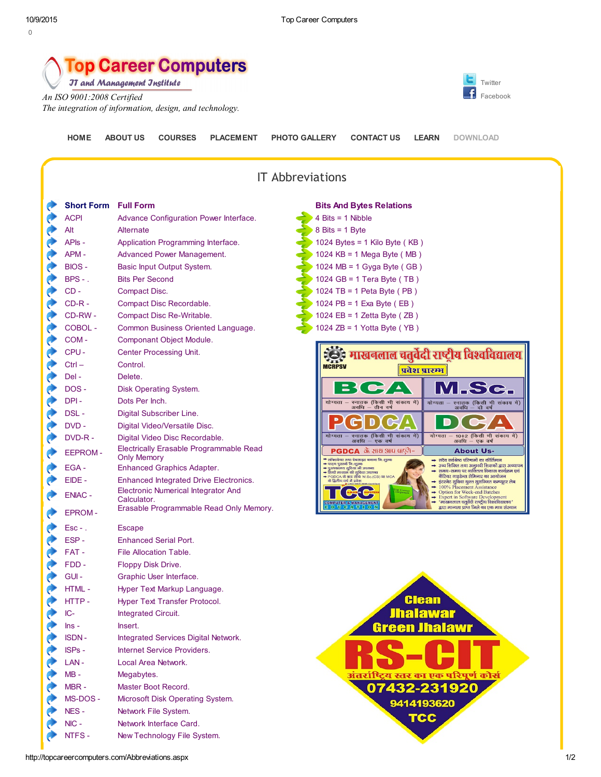